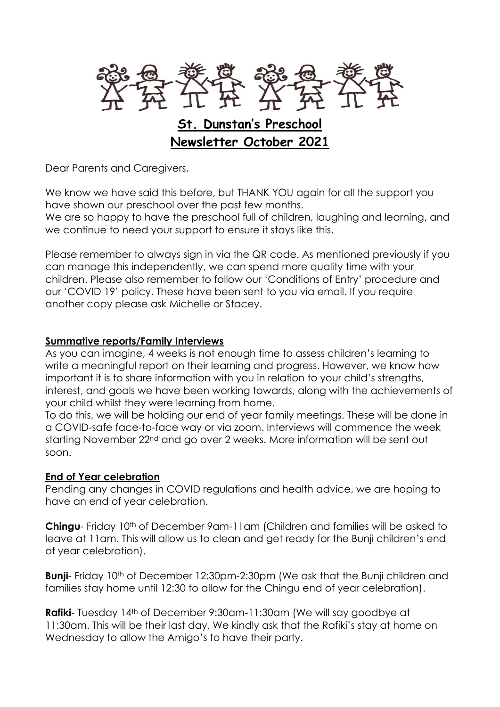

Dear Parents and Caregivers,

We know we have said this before, but THANK YOU again for all the support you have shown our preschool over the past few months.

We are so happy to have the preschool full of children, laughing and learning, and we continue to need your support to ensure it stays like this.

Please remember to always sign in via the QR code. As mentioned previously if you can manage this independently, we can spend more quality time with your children. Please also remember to follow our 'Conditions of Entry' procedure and our 'COVID 19' policy. These have been sent to you via email. If you require another copy please ask Michelle or Stacey.

#### **Summative reports/Family Interviews**

As you can imagine, 4 weeks is not enough time to assess children's learning to write a meaningful report on their learning and progress. However, we know how important it is to share information with you in relation to your child's strengths, interest, and goals we have been working towards, along with the achievements of your child whilst they were learning from home.

To do this, we will be holding our end of year family meetings. These will be done in a COVID-safe face-to-face way or via zoom. Interviews will commence the week starting November 22<sup>nd</sup> and go over 2 weeks. More information will be sent out soon.

#### **End of Year celebration**

Pending any changes in COVID regulations and health advice, we are hoping to have an end of year celebration.

**Chingu**- Friday 10<sup>th</sup> of December 9am-11am (Children and families will be asked to leave at 11am. This will allow us to clean and get ready for the Bunji children's end of year celebration).

**Bunii**- Friday 10<sup>th</sup> of December 12:30pm-2:30pm (We ask that the Bunii children and families stay home until 12:30 to allow for the Chingu end of year celebration).

**Rafiki**- Tuesday 14<sup>th</sup> of December 9:30am-11:30am (We will say goodbye at 11:30am. This will be their last day. We kindly ask that the Rafiki's stay at home on Wednesday to allow the Amigo's to have their party.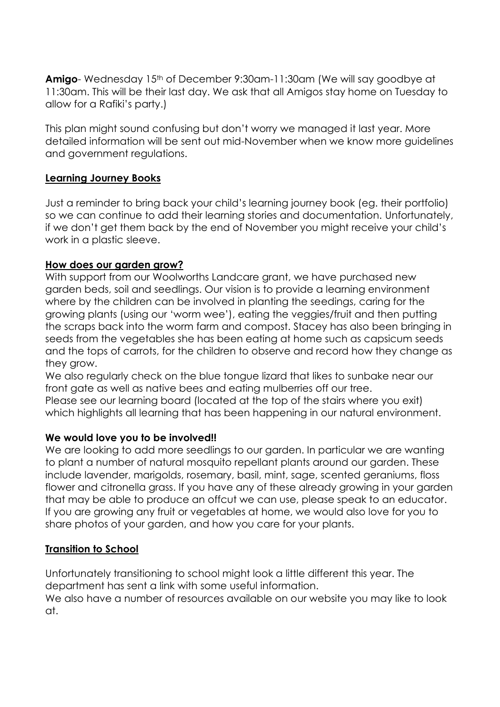**Amigo**- Wednesday 15<sup>th</sup> of December 9:30am-11:30am (We will say goodbye at 11:30am. This will be their last day. We ask that all Amigos stay home on Tuesday to allow for a Rafiki's party.)

This plan might sound confusing but don't worry we managed it last year. More detailed information will be sent out mid-November when we know more guidelines and government regulations.

## **Learning Journey Books**

Just a reminder to bring back your child's learning journey book (eg. their portfolio) so we can continue to add their learning stories and documentation. Unfortunately, if we don't get them back by the end of November you might receive your child's work in a plastic sleeve.

## **How does our garden grow?**

With support from our Woolworths Landcare grant, we have purchased new garden beds, soil and seedlings. Our vision is to provide a learning environment where by the children can be involved in planting the seedings, caring for the growing plants (using our 'worm wee'), eating the veggies/fruit and then putting the scraps back into the worm farm and compost. Stacey has also been bringing in seeds from the vegetables she has been eating at home such as capsicum seeds and the tops of carrots, for the children to observe and record how they change as they grow.

We also regularly check on the blue tongue lizard that likes to sunbake near our front gate as well as native bees and eating mulberries off our tree. Please see our learning board (located at the top of the stairs where you exit) which highlights all learning that has been happening in our natural environment.

#### **We would love you to be involved!!**

We are looking to add more seedlings to our garden. In particular we are wanting to plant a number of natural mosquito repellant plants around our garden. These include lavender, marigolds, rosemary, basil, mint, sage, scented geraniums, floss flower and citronella grass. If you have any of these already growing in your garden that may be able to produce an offcut we can use, please speak to an educator. If you are growing any fruit or vegetables at home, we would also love for you to share photos of your garden, and how you care for your plants.

#### **Transition to School**

Unfortunately transitioning to school might look a little different this year. The department has sent a link with some useful information. We also have a number of resources available on our website you may like to look at.